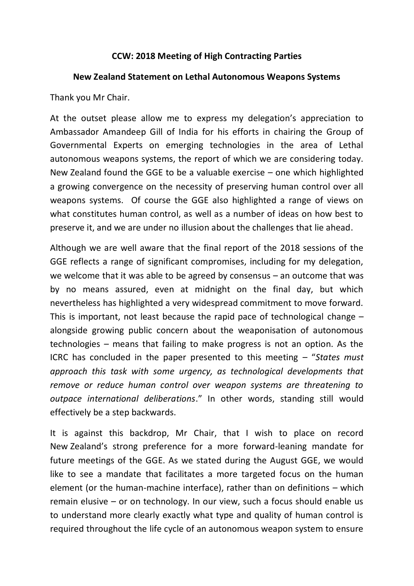## **CCW: 2018 Meeting of High Contracting Parties**

## **New Zealand Statement on Lethal Autonomous Weapons Systems**

Thank you Mr Chair.

At the outset please allow me to express my delegation's appreciation to Ambassador Amandeep Gill of India for his efforts in chairing the Group of Governmental Experts on emerging technologies in the area of Lethal autonomous weapons systems, the report of which we are considering today. New Zealand found the GGE to be a valuable exercise – one which highlighted a growing convergence on the necessity of preserving human control over all weapons systems. Of course the GGE also highlighted a range of views on what constitutes human control, as well as a number of ideas on how best to preserve it, and we are under no illusion about the challenges that lie ahead.

Although we are well aware that the final report of the 2018 sessions of the GGE reflects a range of significant compromises, including for my delegation, we welcome that it was able to be agreed by consensus – an outcome that was by no means assured, even at midnight on the final day, but which nevertheless has highlighted a very widespread commitment to move forward. This is important, not least because the rapid pace of technological change – alongside growing public concern about the weaponisation of autonomous technologies – means that failing to make progress is not an option. As the ICRC has concluded in the paper presented to this meeting – "*States must approach this task with some urgency, as technological developments that remove or reduce human control over weapon systems are threatening to outpace international deliberations*." In other words, standing still would effectively be a step backwards.

It is against this backdrop, Mr Chair, that I wish to place on record New Zealand's strong preference for a more forward-leaning mandate for future meetings of the GGE. As we stated during the August GGE, we would like to see a mandate that facilitates a more targeted focus on the human element (or the human-machine interface), rather than on definitions – which remain elusive – or on technology. In our view, such a focus should enable us to understand more clearly exactly what type and quality of human control is required throughout the life cycle of an autonomous weapon system to ensure